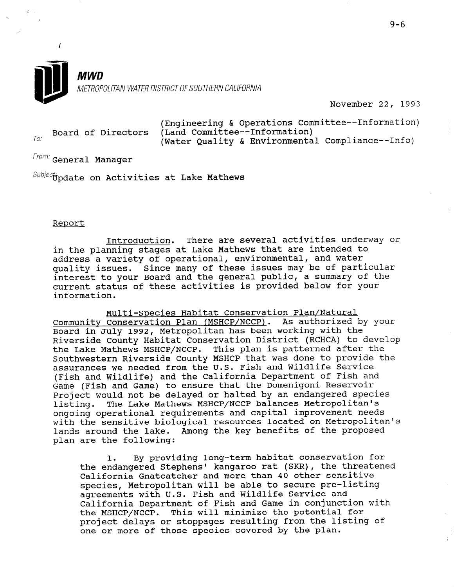

November 22, 1993

|  | Board of Directors | (Engineering & Operations Committee--Information)<br>(Land Committee--Information) |
|--|--------------------|------------------------------------------------------------------------------------|
|  |                    | (Water Quality & Environmental Compliance--Info)                                   |

 $From: **General Manager**$ 

 $^{Subject}$  bodate on Activities at Lake Mathews

## Report

Introduction. There are several activities underway or in the planning stages at Lake Mathews that are intended to address a variety of operational, environmental, and water quality issues. Since many of these issues may be of particular interest to your Board and the general public, a summary of the current status of these activities is provided below for your information.

Multi-Species Habitat Conservation Plan/Natural Community Conservation Plan (MSHCP/NCCP). As authorized by your Board in July 1992, Metropolitan has been working with the Riverside County Habitat Conservation District (RCHCA) to develop the Lake Mathews MSHCP/NCCP. This plan is patterned after the Southwestern Riverside County MSHCP that was done to provide the assurances we needed from the U.S. Fish and Wildlife Service (Fish and Wildlife) and the California Department of Fish and Game (Fish and Game) to ensure that the Domenigoni Reservoir Project would not be delayed or halted by an endangered species listing. The Lake Mathews MSHCP/NCCP balances Metropolitan's ongoing operational requirements and capital improvement needs with the sensitive biological resources located on Metropolitan's with the sensitive biological resources focated on hetropolic<br>lands around the lake. Among the key benefits of the propose planus around the far<br>plan are the following

1. By providing long-term habitat conservation for the endangered Stephens' kangaroo rat (SKR), the threatened California Gnatcatcher and more than 40 other sensitive species, Metropolitan will be able to secure pre-listing species, metropolitan will be able to secure pre-i agreements with U.S. Fish and Wildlife Service and<br>California Department of Fish and Game in conjunction with the MSHCP/MSHCP/NCCP. This will minimize the potential for the MSHCP. The method of the material for project delays or stoppages resulting from the listing of project delays or stoppages resulting from the listing of<br>one or more of those species covered by the plan.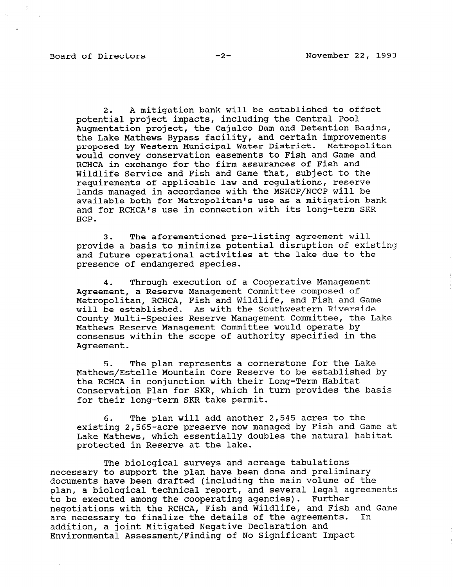2. A mitigation bank will be established to offset potential project impacts, including the Central Pool Augmentation project, the Cajalco Dam and Detention Basins, the Lake Mathews Bypass facility, and certain improvements proposed by Western Municipal Water District. Metropolitan would convey conservation easements to Fish and Game and RCHCA in exchange for the firm assurances of Fish and Wildlife Service and Fish and Game that, subject to the requirements of applicable law and regulations, reserve lands managed in accordance with the MSHCP/NCCP will be available both for Metropolitan's use as a mitigation bank and for RCHCA's use in connection with its long-term SKR HCP.

3. The aforementioned pre-listing agreement will provide a basis to minimize potential disruption of existing and future operational activities at the lake due to the presence of endangered species.

4. Through execution of a Cooperative Management Agreement, a Reserve Management Committee composed of Metropolitan, RCHCA, Fish and Wildlife, and Fish and Game will be established. As with the Southwestern Riverside County Multi-Species Reserve Management Committee, the Lake Mathews Reserve Management Committee would operate by consensus within the scope of authority specified in the Agreement.

5. The plan represents a cornerstone for the Lake Mathews/Estelle Mountain Core Reserve to be established by the RCHCA in conjunction with their Long-Term Habitat Conservation Plan for SKR, which in turn provides the basis for their long-term SKR take permit.

6. The plan will add another 2,545 acres to the existing 2,565-acre preserve now managed by Fish and Game at Lake Mathews, which essentially doubles the natural habitat protected in Reserve at the lake.

The biological surveys and acreage tabulations necessary to support the plan have been done and preliminary documents have been drafted (including the main volume of the documents have been drarted (incruding the main volume of the<br>plan, a biological technical report, and several legal agreement pian, a biological tecnnical report, and several legal<br>to be executed among the cooperating agencies). Furthe to be executed among the cooperating agencies). Further<br>negotiations with the RCHCA, Fish and Wildlife, and Fish and Game negotiations with the RthtA, fish and wildlife, and fish and ale necessary to finalize the details of the agreeme addition, a joint Mitigated Negative Declaration and<br>Environmental Assessment/Finding of No Significant Impact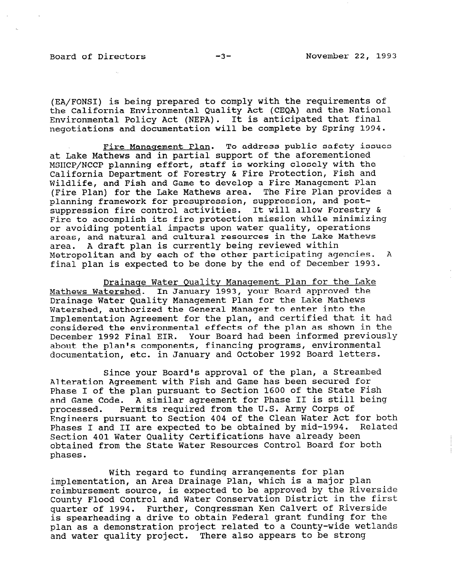(EA/FONSI) is being prepared to comply with the requirements of the California Environmental Quality Act (CEQA) and the National Environmental Policy Act (NEPA). It is anticipated that final negotiations and documentation will be complete by Spring 1994.

Fire Management Plan. To address public safety issues at Lake Mathews and in partial support of the aforementioned MSHCP/NCCP planning effort, staff is working closely with the California Department of Forestry & Fire Protection, Fish and Wildlife, and Fish and Game to develop a Fire Management Plan (Fire Plan) for the Lake Mathews area. The Fire Plan provides a planning framework for presupression, suppression, and postsuppression fire control activities. It will allow Forestry & Fire to accomplish its fire protection mission while minimizing or avoiding potential impacts upon water quality, operations areas, and natural and cultural resources in the Lake Mathews area. A draft plan is currently being reviewed within Metropolitan and by each of the other participating agencies. A final plan is expected to be done by the end of December 1993.

Drainage Water Quality Management Plan for the Lake Mathews Watershed. In January 1993, your Board approved the Drainage Water Quality Management Plan for the Lake Mathews Watershed, authorized the General Manager to enter into the Implementation Agreement for the plan, and certified that it had considered the environmental effects of the plan as shown in the December 1992 Final EIR. Your Board had been informed previously about the plan's components, financing programs, environmental documentation, etc. in January and October 1992 Board letters.

Since your Board's approval of the plan, a Streambed Alteration Agreement with Fish and Game has been secured for Phase I of the plan pursuant to Section 1600 of the State Fish and Game Code. A similar agreement for Phase II is still being processed. Permits required from the U.S. Army Corps of Engineers pursuant to Section 404 of the Clean Water Act for both Phases I and II are expected to be obtained by mid-1994. Related Section 401 Water Quality Certifications have already been obtained from the State Water Resources Control Board for both phases.

With regard to funding arrangements for plan implementation, an Area Drainage Plan, which is a major plan reimbursement source, is expected to be approved by the Riverside County Flood Control and Water Conservation District in the first county flood control and water conservation bistrict in the f quarter of 1994. Further, Congressman Ken Calvert of Riverside<br>is spearheading a drive to obtain Federal grant funding for the plan as a demonstration project related to a County-wide wetland pian as a demonstration project related to a county-wide w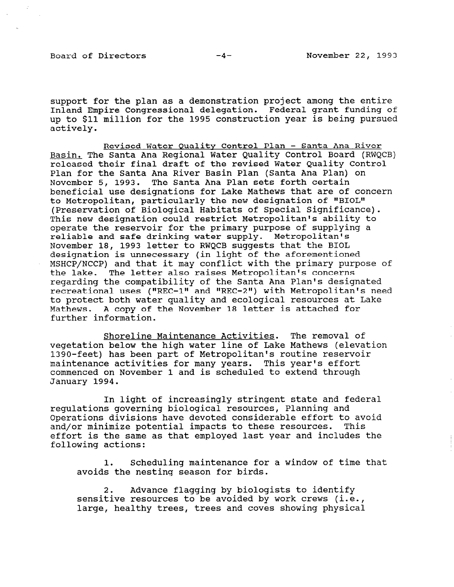support for the plan as a demonstration project among the entire Inland Empire Congressional delegation. Federal grant funding of up to \$11 million for the 1995 construction year is being pursued actively.

Revised Water Quality Control Plan - Santa Ana River Basin. The Santa Ana Regional Water Quality Control Board (RWOCB) released their final draft of the revised Water Quality Control Plan for the Santa Ana River Basin Plan (Santa Ana Plan) on November 5, 1993. The Santa Ana Plan sets forth certain beneficial use designations for Lake Mathews that are of concern to Metropolitan, particularly the new designation of "BIOL" (Preservation of Biological Habitats of Special Significance). This new designation could restrict Metropolitan's ability to operate the reservoir for the primary purpose of supplying a reliable and safe drinking water supply. Metropolitan's November 18, 1993 letter to RWQCB suggests that the BIOL designation is unnecessary (in light of the aforementioned MSHCP/NCCP) and that it may conflict with the primary purpose of the lake. The letter also raises Metropolitan's concerns regarding the compatibility of the Santa Ana Plan's designated recreational uses ("REC-1" and "REC-2") with Metropolitan's need to protect both water quality and ecological resources at Lake Mathews. A copy of the November 18 letter is attached for further information.

Shoreline Maintenance Activities. The removal of vegetation below the high water line of Lake Mathews (elevation 1390-feet) has been part of Metropolitan's routine reservoir maintenance activities for many years. This year's effort commenced on November 1 and is scheduled to extend through January 1994.

In light of increasingly stringent state and federal regulations governing biological resources, Planning and Operations divisions have devoted considerable effort to avoid and/or minimize potential impacts to these resources. This effort is the same as that employed last year and includes the eliult is the so<br>following action

1. Scheduling maintenance for a window of time that avoids the nesting season for birds.

2. Advance flagging by biologists to identify z. Advance riagging by biologists to identify sensitive resources to be avoided by work crews (i.e.,<br>large, healthy trees, trees and coves showing physical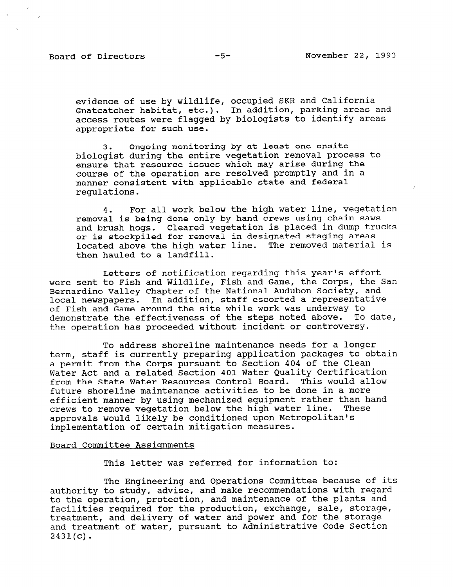evidence of use by wildlife, occupied SKR and California Gnatcatcher habitat, etc.). In addition, parking areas and access routes were flagged by biologists to identify areas appropriate for such use.

3. Ongoing monitoring by at least one onsite biologist during the entire vegetation removal process to ensure that resource issues which may arise during the course of the operation are resolved promptly and in a manner consistent with applicable state and federal regulations.

4. For all work below the high water line, vegetation removal is being done only by hand crews using chain saws and brush hogs. Cleared vegetation is placed in dump trucks or is stockpiled for removal in designated staging areas located above the high water line. The removed material is then hauled to a landfill.

Letters of notification regarding this year's effort were sent to Fish and Wildlife, Fish and Game, the Corps, the San Bernardino Valley Chapter of the National Audubon Society, and local newspapers. In addition, staff escorted a representative of Fish and Game around the site while work was underway to demonstrate the effectiveness of the steps noted above. To date, the operation has proceeded without incident or controversy.

To address shoreline maintenance needs for a longer term, staff is currently preparing application packages to obtain a permit from the Corps pursuant to Section 404 of the Clean Water Act and a related Section 401 Water Quality Certification from the State Water Resources Control Board. This would allow future shoreline maintenance activities to be done in a more efficient manner by using mechanized equipment rather than hand crews to remove vegetation below the high water line. These approvals would likely be conditioned upon Metropolitan's implementation of certain mitigation measures.

## Board Committee Assignments

This letter was referred for information to:

The Engineering and Operations Committee because of its authority to study, advise, and make recommendations with regard to the operation, protection, and maintenance of the plants and facilities required for the production, exchange, sale, storage, treatment, and delivery of water and power and for the storage<br>treatment, and delivery of water and power and for the storag treatment, and delivery of water and power and for the storage and treatment of water, pursuant to Administrative Code Section  $2431(c)$ .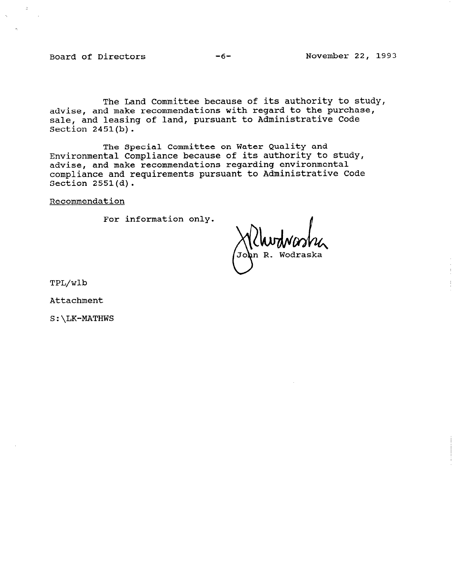$\lambda$ 

The Land Committee because of its authority to study, advise, and make recommendations with regard to the purchase, sale, and leasing of land, pursuant to Administrative Code Section 2451(b).

The Special Committee on Water Quality and Environmental Compliance because of its authority to study, advise, and make recommendations regarding environmental compliance and requirements pursuant to Administrative Code Section 2551(d).

Recommendation

For information only.

Wodraska

TPL/wlb

Attachment

S:\LK-MATHWS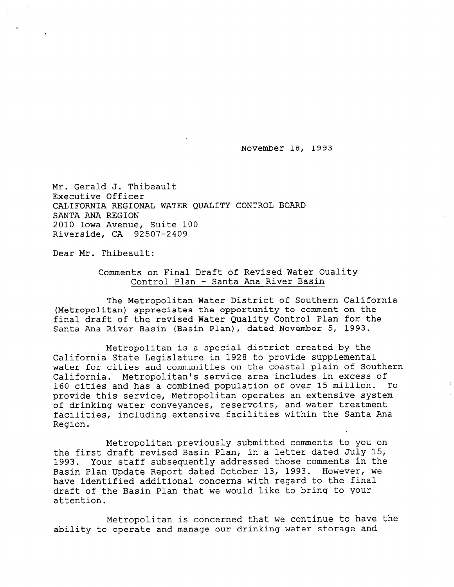November 18, 1993

Mr. Gerald J. Thibeault Executive Officer CALIFORNIA REGIONAL WATER QUALITY CONTROL BOARD SANTA ANA REGION 2010 Iowa Avenue, Suite 100 Riverside, CA 92507-2409

Dear Mr. Thibeault:

Comments on Final Draft of Revised Water Quality Control Plan - Santa Ana River Basin

The Metropolitan Water District of Southern California (Metropolitan) appreciates the opportunity to comment on the final draft of the revised Water Quality Control Plan for the Santa Ana River Basin (Basin Plan), dated November 5, 1993.

Metropolitan is a special district created by the California State Legislature in 1928 to provide supplemental water for cities and communities on the coastal plain of Southern California. Metropolitan's service area includes in excess of 160 cities and has a combined population of over 15 million. To provide this service, Metropolitan operates an extensive system of drinking water conveyances, reservoirs, and water treatment facilities, including extensive facilities within the Santa Ana Region.

Metropolitan previously submitted comments to you on the first draft revised Basin Plan, in a letter dated July 15, 1993. Your staff subsequently addressed those comments in the Basin Plan Update Report dated October 13, 1993. However, we Basin Plan Update Report dated October 13, 1993. However, we<br>have identified additional concerns with regard to the final draft of the Basin Plan that we would like to bring to your attention.

Metropolitan is concerned that we continue to have the ability to operate and manage our drinking water storage and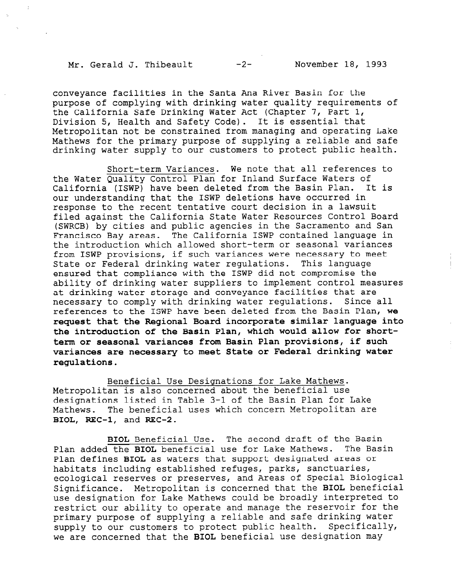Mr. Gerald J. Thibeault -2- November 18, 1993

conveyance facilities in the Santa Ana River Basin for the purpose of complying with drinking water quality requirements of the California Safe Drinking Water Act (Chapter 7, Part 1, Division 5, Health and Safety Code). It is essential that Metropolitan not be constrained from managing and operating Lake Mathews for the primary purpose of supplying a reliable and safe drinking water supply to our customers to protect public health.

Short-term Variances. We note that all references to the Water Quality Control Plan for Inland Surface Waters of California (ISWP) have been deleted from the Basin Plan. It is our understanding that the ISWP deletions have occurred in response to the recent tentative court decision in a lawsuit filed against the California State Water Resources Control Board (SWRCB) by cities and public agencies in the Sacramento and San Francisco Bay areas. The California ISWP contained language in the introduction which allowed short-term or seasonal variances from ISWP provisions, if such variances were necessary to meet State or Federal drinking water regulations. This language ensured that compliance with the ISWP did not compromise the ability of drinking water suppliers to implement control measures at drinking water storage and conveyance facilities that are necessary to comply with drinking water regulations. Since all references to the ISWP have been deleted from the Basin Plan, we request that the Regional Board incorporate similar language into the introduction of the Basin Plan, which would allow for shortterm or seasonal variances from Basin Plan provisions, if such variances are necessary to meet State or Federal drinking water regulations.

Beneficial Use Designations for Lake Mathews. Metropolitan is also concerned about the beneficial use designations listed in Table 3-1 of the Basin Plan for Lake Mathews. The beneficial uses which concern Metropolitan are BIOL, REC-1, and REC-2.

BIOL Beneficial Use. The second draft of the Basin Plan added the BIOL beneficial use for Lake Mathews. The Basin Plan defines BIOL as waters that support designated areas or habitats including established refuges, parks, sanctuaries, ecological reserves or preserves, and Areas of Special Biological Significance. Metropolitan is concerned that the BIOL beneficial use designation for Lake Mathews could be broadly interpreted to use designation for make nathews could be broading interpretted to primary purpose of supplying a reliable and safe drinking with primary purpose of supplying a reliable and safe drinking water<br>supply to our customers to protect public health. Specifically, supply to our customers to protect public health. Specificall<br>we are concerned that the BIOL beneficial use designation may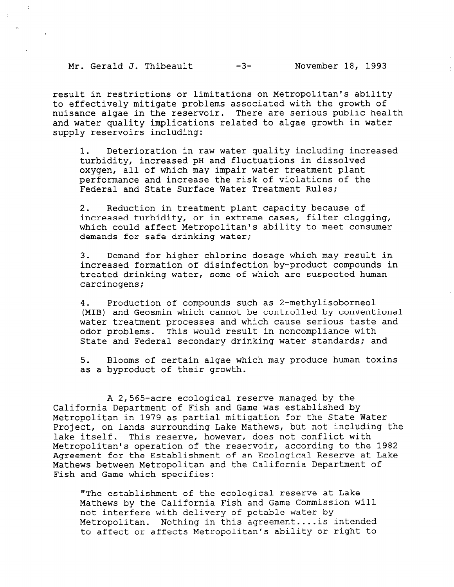Mr. Gerald J. Thibeault -3- November 18, 1993

result in restrictions or limitations on Metropolitan's ability to effectively mitigate problems associated with the growth of nuisance algae in the reservoir. There are serious public health and water quality implications related to algae growth in water supply reservoirs including:

1. Deterioration in raw water quality including increased turbidity, increased pH and fluctuations in dissolved oxygen, all of which may impair water treatment plant performance and increase the risk of violations of the Federal and State Surface Water Treatment Rules;

2. Reduction in treatment plant capacity because of increased turbidity, or in extreme cases, filter clogging, which could affect Metropolitan's ability to meet consumer demands for safe drinking water;

3. Demand for higher chlorine dosage which may result in increased formation of disinfection by-product compounds in treated drinking water, some of which are suspected human carcinogens;

4. Production of compounds such as 2-methylisoborneol (MIB) and Geosmin which cannot be controlled by conventional water treatment processes and which cause serious taste and odor problems. This would result in noncompliance with State and Federal secondary drinking water standards; and

5. Blooms of certain algae which may produce human toxins as a byproduct of their growth.

A 2,565-acre ecological reserve managed by the California Department of Fish and Game was established by Metropolitan in 1979 as partial mitigation for the State Water Project, on lands surrounding Lake Mathews, but not including the lake itself. This reserve, however, does not conflict with Metropolitan's operation of the reservoir, according to the 1982 Agreement for the Establishment of an Ecological Reserve at Lake Mathews between Metropolitan and the California Department of Fish and Game which specifies:

"The establishment of the ecological reserve at Lake Mathews by the California Fish and Game Commission will nathews by the California fish and dame commiss not interfere with delivery of potable water by<br>Metropolitan. Nothing in this agreement....is intended to affect or affects Metropolitan's ability or right to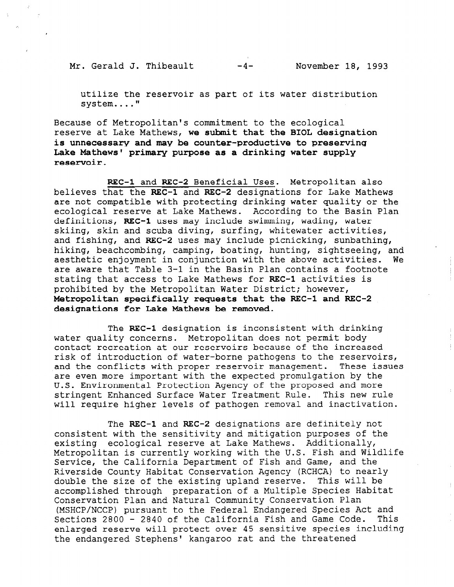Mr. Gerald J. Thibeault -4- November 18, 1993

utilize the reservoir as part of its water distribution system...."

Because of Metropolitan's commitment to the ecological reserve at Lake Mathews, we submit that the BIOL designation is unnecessary and may be counter-productive to preserving Lake Mathews' primary purpose as a drinking water supply reservoir.

REC-1 and REC-2 Beneficial Uses. Metropolitan also believes that the REC-1 and REC-2 designations for Lake Mathews are not compatible with protecting drinking water quality or the ecological reserve at Lake Mathews. According to the Basin Plan definitions, REC-1 uses may include swimming, wading, water skiing, skin and scuba diving, surfing, whitewater activities, and fishing, and REC-2 uses may include picnicking, sunbathing, hiking, beachcombing, camping, boating, hunting, sightseeing, and aesthetic enjoyment in conjunction with the above activities. We are aware that Table 3-1 in the Basin Plan contains a footnote stating that access to Lake Mathews for REC-1 activities is prohibited by the Metropolitan Water District; however, Metropolitan specifically requests that the REC-1 and REC-2 designations for Lake Mathews be removed.

The REC-1 designation is inconsistent with drinking water quality concerns. Metropolitan does not permit body contact recreation at our reservoirs because of the increased risk of introduction of water-borne pathogens to the reservoirs, and the conflicts with proper reservoir management. These issues are even more important with the expected promulgation by the U.S. Environmental Protection Agency of the proposed and more stringent Enhanced Surface Water Treatment Rule. This new rule will require higher levels of pathogen removal and inactivation.

The REC-1 and REC-2 designations are definitely not consistent with the sensitivity and mitigation purposes of the existing ecological reserve at Lake Mathews. Additionally, Metropolitan is currently working with the U.S. Fish and Wildlife Service, the California Department of Fish and Game, and the Riverside County Habitat Conservation Agency (RCHCA) to nearly Riverside County Habitat Conservation Agency (RCHCA) to nearly double the size of the existing upland reserve. This will be accomplished through preparation of a Multiple Species Habitat decomplished chrough preparation or a nurtiple species is (MSHCP/NCCP) pursuant to the Federal Endangered Species Act and (MSHCP/NCCP) pursuant to the Federal Endangered Species Act and<br>Sections 2800 - 2840 of the California Fish and Game Code. This enclaries zoon - zoon of the california field and dame code. In:<br>Sections zoon - zoon of the california field and dame code. In: enfarged reserve will protect over 45 sensitive specie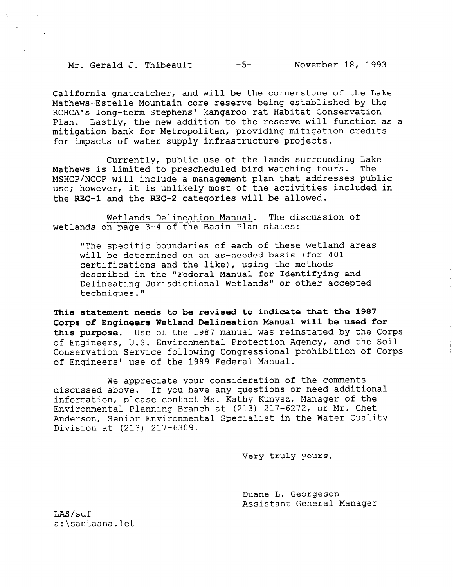Mr. Gerald J. Thibeault -5- November 18, 1993

California gnatcatcher, and will be the cornerstone of the Lake Mathews-Estelle Mountain core reserve being established by the RCHCA's long-term Stephens' kangaroo rat Habitat Conservation Plan. Lastly, the new addition to the reserve will function as a mitigation bank for Metropolitan, providing mitigation credits for impacts of water supply infrastructure projects.

Currently, public use of the lands surrounding Lake Mathews is limited to prescheduled bird watching tours. The MSHCP/NCCP will include a management plan that addresses public use; however, it is unlikely most of the activities included in the REC-1 and the REC-2 categories will be allowed.

Wetlands Delineation Manual. The discussion of wetlands on page 3-4 of the Basin Plan states:

"The specific boundaries of each of these wetland areas will be determined on an as-needed basis (for 401 certifications and the like), using the methods described in the "Federal Manual for Identifying and Delineating Jurisdictional Wetlands" or other accepted techniques."

This statement needs to be revised to indicate that the 1987 Corps of Engineers Wetland Delineation Manual will be used for this purpose. Use of the 1987 manual was reinstated by the Corps of Engineers, U.S. Environmental Protection Agency, and the Soil Conservation Service following Congressional prohibition of Corps of Engineers' use of the 1989 Federal Manual.

We appreciate your consideration of the comments discussed above. If you have any questions or need additional information, please contact Ms. Kathy Kunysz, Manager of the Environmental Planning Branch at (213) 217-6272, or Mr. Chet Anderson, Senior Environmental Specialist in the Water Quality Division at (213) 217-6309.

Very truly yours,

Duane L. Georgeson Assistant General Manager

LAS/sdf a:\santaana.let

,